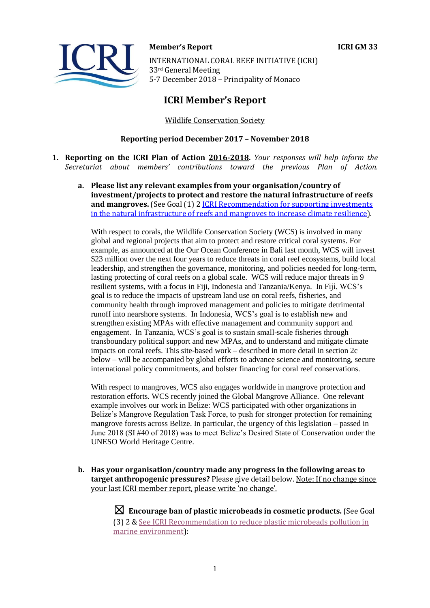

**Member's Report ICRI GM 33**  INTERNATIONAL CORAL REEF INITIATIVE (ICRI) 33rd General Meeting 5-7 December 2018 – Principality of Monaco

# **ICRI Member's Report**

Wildlife Conservation Society

### **Reporting period December 2017 – November 2018**

- **1. Reporting on the ICRI Plan of Action 2016-2018.** *Your responses will help inform the Secretariat about members' contributions toward the previous Plan of Action.*
	- **a. Please list any relevant examples from your organisation/country of investment/projects to protect and restore the natural infrastructure of reefs and mangroves.** (See Goal (1) 2 [ICRI Recommendation for supporting investments](https://www.icriforum.org/sites/default/files/ICRI-GM32_RECO_investments_natural_infrastructure-Final.pdf)  [in the natural infrastructure of reefs and mangroves to increase climate resilience\)](https://www.icriforum.org/sites/default/files/ICRI-GM32_RECO_investments_natural_infrastructure-Final.pdf).

With respect to corals, the Wildlife Conservation Society (WCS) is involved in many global and regional projects that aim to protect and restore critical coral systems. For example, as announced at the Our Ocean Conference in Bali last month, WCS will invest \$23 million over the next four years to reduce threats in coral reef ecosystems, build local leadership, and strengthen the governance, monitoring, and policies needed for long-term, lasting protecting of coral reefs on a global scale. WCS will reduce major threats in 9 resilient systems, with a focus in Fiji, Indonesia and Tanzania/Kenya. In Fiji, WCS's goal is to reduce the impacts of upstream land use on coral reefs, fisheries, and community health through improved management and policies to mitigate detrimental runoff into nearshore systems. In Indonesia, WCS's goal is to establish new and strengthen existing MPAs with effective management and community support and engagement. In Tanzania, WCS's goal is to sustain small-scale fisheries through transboundary political support and new MPAs, and to understand and mitigate climate impacts on coral reefs. This site-based work – described in more detail in section 2c below – will be accompanied by global efforts to advance science and monitoring, secure international policy commitments, and bolster financing for coral reef conservations.

With respect to mangroves, WCS also engages worldwide in mangrove protection and restoration efforts. WCS recently joined the Global Mangrove Alliance. One relevant example involves our work in Belize: WCS participated with other organizations in Belize's Mangrove Regulation Task Force, to push for stronger protection for remaining mangrove forests across Belize. In particular, the urgency of this legislation – passed in June 2018 (SI #40 of 2018) was to meet Belize's Desired State of Conservation under the UNESO World Heritage Centre.

**b. Has your organisation/country made any progress in the following areas to target anthropogenic pressures?** Please give detail below. Note: If no change since your last ICRI member report, please write 'no change'.

> ☒ **Encourage ban of plastic microbeads in cosmetic products.** (See Goal (3) 2 [& See ICRI Recommendation to reduce plastic microbeads pollution in](https://www.icriforum.org/sites/default/files/ICRIGM31_Reco_microbeads_0.pdf)  [marine environment\)](https://www.icriforum.org/sites/default/files/ICRIGM31_Reco_microbeads_0.pdf):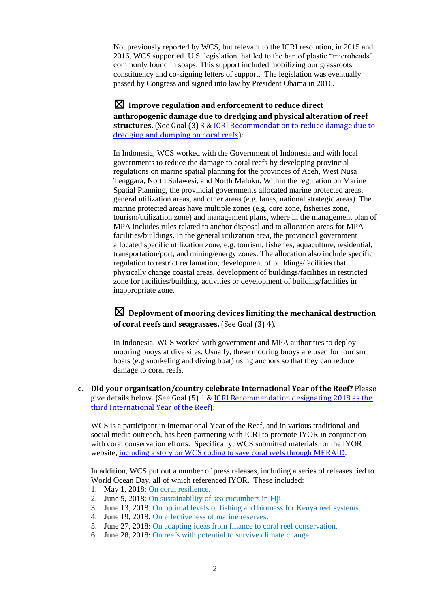Not previously reported by WCS, but relevant to the ICRI resolution, in 2015 and 2016, WCS supported U.S. legislation that led to the ban of plastic "microbeads" commonly found in soaps. This support included mobilizing our grassroots constituency and co-signing letters of support. The legislation was eventually passed by Congress and signed into law by President Obama in 2016.

☒ **Improve regulation and enforcement to reduce direct anthropogenic damage due to dredging and physical alteration of reef structures.** (See Goal (3) 3 & [ICRI Recommendation to reduce damage due to](https://www.icriforum.org/sites/default/files/ICRI-GM32_RECO_Dredging.pdf)  [dredging and dumping on coral reefs\)](https://www.icriforum.org/sites/default/files/ICRI-GM32_RECO_Dredging.pdf):

In Indonesia, WCS worked with the Government of Indonesia and with local governments to reduce the damage to coral reefs by developing provincial regulations on marine spatial planning for the provinces of Aceh, West Nusa Tenggara, North Sulawesi, and North Maluku. Within the regulation on Marine Spatial Planning, the provincial governments allocated marine protected areas, general utilization areas, and other areas (e.g. lanes, national strategic areas). The marine protected areas have multiple zones (e.g. core zone, fisheries zone, tourism/utilization zone) and management plans, where in the management plan of MPA includes rules related to anchor disposal and to allocation areas for MPA facilities/buildings. In the general utilization area, the provincial government allocated specific utilization zone, e.g. tourism, fisheries, aquaculture, residential, transportation/port, and mining/energy zones. The allocation also include specific regulation to restrict reclamation, development of buildings/facilities that physically change coastal areas, development of buildings/facilities in restricted zone for facilities/building, activities or development of building/facilities in inappropriate zone.

☒ **Deployment of mooring devices limiting the mechanical destruction of coral reefs and seagrasses.** (See Goal (3) 4).

In Indonesia, WCS worked with government and MPA authorities to deploy mooring buoys at dive sites. Usually, these mooring buoys are used for tourism boats (e.g snorkeling and diving boat) using anchors so that they can reduce damage to coral reefs.

**c. Did your organisation/country celebrate International Year of the Reef?** Please give details below. (See Goal (5) 1 [& ICRI Recommendation designating 2018 as the](https://www.icriforum.org/sites/default/files/ICRIGM31_Reco_IYOR2018_0.pdf)  [third International Year of the Reef\)](https://www.icriforum.org/sites/default/files/ICRIGM31_Reco_IYOR2018_0.pdf):

WCS is a participant in International Year of the Reef, and in various traditional and social media outreach, has been partnering with ICRI to promote IYOR in conjunction with coral conservation efforts. Specifically, WCS submitted materials for the IYOR website, [including a story on WCS coding to save coral reefs through MERAID.](https://www.iyor2018.org/resource/wcs-coding-save-coral-reefs/)

In addition, WCS put out a number of press releases, including a series of releases tied to World Ocean Day, all of which referenced IYOR. These included:

- 1. May 1, 2018: [On coral resilience.](https://newsroom.wcs.org/News-Releases/articleType/ArticleView/articleId/11275/Scientists-Discover-Balance-of-Thermal-Energy-and-Low-Climate-Stress-Drive-Coral-Species-Diversity.aspx)
- 2. June 5, 2018: [On sustainability of sea](https://newsroom.wcs.org/News-Releases/articleType/ArticleView/articleId/11329/Study-in-Fiji-Finds-That-Removing-Sea-Cucumbers-Spells-Trouble-for-Shallow-Coastal-Waters.aspx) cucumbers in Fiji.
- 3. June 13, 2018: [On optimal levels of fishing and biomass for Kenya reef systems.](https://global.wcs.org/Resources/News-v01/articleType/ArticleView/articleId/11343/New-Research-in-Kenya-Finds-Sweet-Spot-for-Harvesting-Reef-Fish.aspx)
- 4. June 19, 2018: [On effectiveness of marine reserves.](https://newsroom.wcs.org/News-Releases/articleType/ArticleView/articleId/11355/Global-Study-Finds-Marine-Reserves-are-Partially-Effective.aspx)
- 5. June 27, 2018: On adapting [ideas from finance to coral reef](https://newsroom.wcs.org/News-Releases/articleType/ArticleView/articleId/11372/Reef-Scientists-Adapt-Ideas-From-Investment-World-to-Coral-Reef-Conservation.aspx) conservation.
- 6. June 28, 2018: On reefs [with potential to survive climate change.](https://newsroom.wcs.org/News-Releases/articleType/ArticleView/articleId/11374/Study-Identifies-Reefs-with-Potential-to-Survive-Climate-Changes-Impacts.aspx)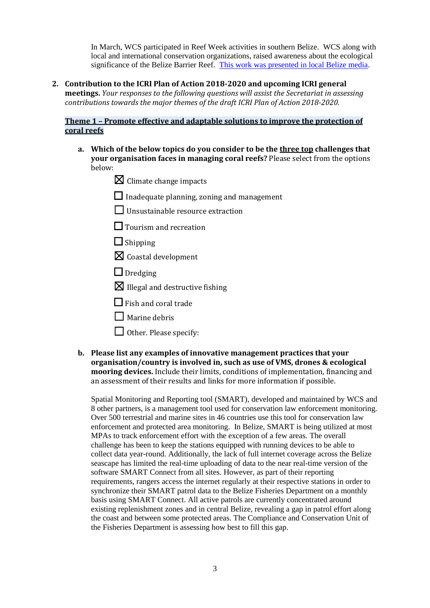In March, WCS participated in Reef Week activities in southern Belize. WCS along with local and international conservation organizations, raised awareness about the ecological significance of the Belize Barrier Reef. [This work was presented in local Belize media.](http://www.guardian.bz/index.php?option=com_content&view=article&id=15373:wcs-focuses-on-frer-rzs-a-spags-for-reef-week-2018&catid=40:politics&Itemid=90)

**2. Contribution to the ICRI Plan of Action 2018-2020 and upcoming ICRI general meetings.** *Your responses to the following questions will assist the Secretariat in assessing contributions towards the major themes of the draft ICRI Plan of Action 2018-2020.*

### **Theme 1 – Promote effective and adaptable solutions to improve the protection of coral reefs**

- **a. Which of the below topics do you consider to be the three top challenges that your organisation faces in managing coral reefs?** Please select from the options below:
	- $\boxtimes$  Climate change impacts
	- $\Box$  Inadequate planning, zoning and management
	- ☐Unsustainable resource extraction
	- □ Tourism and recreation
	- ☐ Shipping
	- $\boxtimes$  Coastal development
	- □ Dredging
	- $\boxtimes$  Illegal and destructive fishing
	- $\Box$  Fish and coral trade
	- □ Marine debris
	- $\Box$  Other. Please specify:
- **b. Please list any examples of innovative management practices that your organisation/country is involved in, such as use of VMS, drones & ecological mooring devices.** Include their limits, conditions of implementation, financing and an assessment of their results and links for more information if possible.

Spatial Monitoring and Reporting tool (SMART), developed and maintained by WCS and 8 other partners, is a management tool used for conservation law enforcement monitoring. Over 500 terrestrial and marine sites in 46 countries use this tool for conservation law enforcement and protected area monitoring. In Belize, SMART is being utilized at most MPAs to track enforcement effort with the exception of a few areas. The overall challenge has been to keep the stations equipped with running devices to be able to collect data year-round. Additionally, the lack of full internet coverage across the Belize seascape has limited the real-time uploading of data to the near real-time version of the software SMART Connect from all sites. However, as part of their reporting requirements, rangers access the internet regularly at their respective stations in order to synchronize their SMART patrol data to the Belize Fisheries Department on a monthly basis using SMART Connect. All active patrols are currently concentrated around existing replenishment zones and in central Belize, revealing a gap in patrol effort along the coast and between some protected areas. The Compliance and Conservation Unit of the Fisheries Department is assessing how best to fill this gap.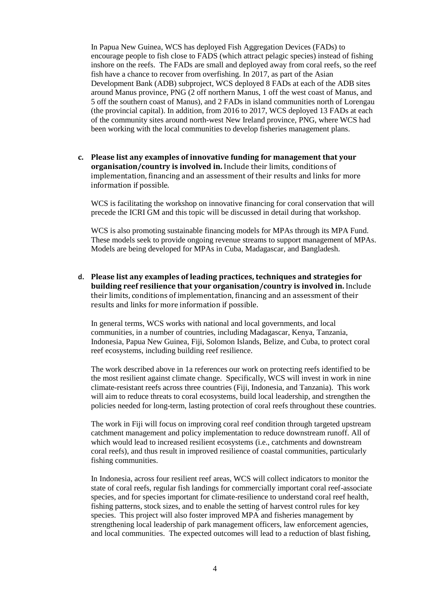In Papua New Guinea, WCS has deployed Fish Aggregation Devices (FADs) to encourage people to fish close to FADS (which attract pelagic species) instead of fishing inshore on the reefs. The FADs are small and deployed away from coral reefs, so the reef fish have a chance to recover from overfishing. In 2017, as part of the Asian Development Bank (ADB) subproject, WCS deployed 8 FADs at each of the ADB sites around Manus province, PNG (2 off northern Manus, 1 off the west coast of Manus, and 5 off the southern coast of Manus), and 2 FADs in island communities north of Lorengau (the provincial capital). In addition, from 2016 to 2017, WCS deployed 13 FADs at each of the community sites around north-west New Ireland province, PNG, where WCS had been working with the local communities to develop fisheries management plans.

**c. Please list any examples of innovative funding for management that your organisation/country is involved in.** Include their limits, conditions of implementation, financing and an assessment of their results and links for more information if possible.

WCS is facilitating the workshop on innovative financing for coral conservation that will precede the ICRI GM and this topic will be discussed in detail during that workshop.

WCS is also promoting sustainable financing models for MPAs through its MPA Fund. These models seek to provide ongoing revenue streams to support management of MPAs. Models are being developed for MPAs in Cuba, Madagascar, and Bangladesh.

**d. Please list any examples of leading practices, techniques and strategies for building reef resilience that your organisation/country is involved in.** Include their limits, conditions of implementation, financing and an assessment of their results and links for more information if possible.

In general terms, WCS works with national and local governments, and local communities, in a number of countries, including Madagascar, Kenya, Tanzania, Indonesia, Papua New Guinea, Fiji, Solomon Islands, Belize, and Cuba, to protect coral reef ecosystems, including building reef resilience.

The work described above in 1a references our work on protecting reefs identified to be the most resilient against climate change. Specifically, WCS will invest in work in nine climate-resistant reefs across three countries (Fiji, Indonesia, and Tanzania). This work will aim to reduce threats to coral ecosystems, build local leadership, and strengthen the policies needed for long-term, lasting protection of coral reefs throughout these countries.

The work in Fiji will focus on improving coral reef condition through targeted upstream catchment management and policy implementation to reduce downstream runoff. All of which would lead to increased resilient ecosystems (i.e., catchments and downstream coral reefs), and thus result in improved resilience of coastal communities, particularly fishing communities.

In Indonesia, across four resilient reef areas, WCS will collect indicators to monitor the state of coral reefs, regular fish landings for commercially important coral reef-associate species, and for species important for climate-resilience to understand coral reef health, fishing patterns, stock sizes, and to enable the setting of harvest control rules for key species. This project will also foster improved MPA and fisheries management by strengthening local leadership of park management officers, law enforcement agencies, and local communities. The expected outcomes will lead to a reduction of blast fishing,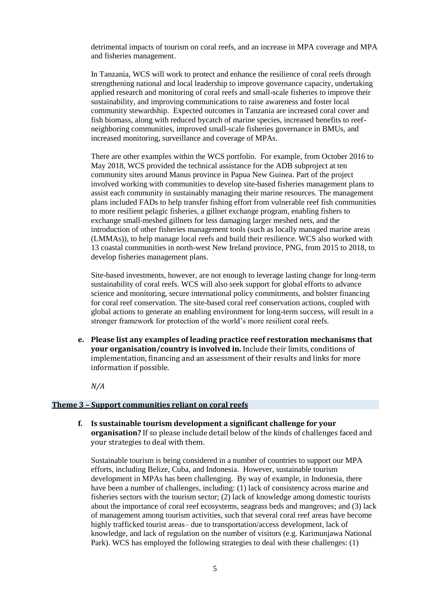detrimental impacts of tourism on coral reefs, and an increase in MPA coverage and MPA and fisheries management.

In Tanzania, WCS will work to protect and enhance the resilience of coral reefs through strengthening national and local leadership to improve governance capacity, undertaking applied research and monitoring of coral reefs and small-scale fisheries to improve their sustainability, and improving communications to raise awareness and foster local community stewardship. Expected outcomes in Tanzania are increased coral cover and fish biomass, along with reduced bycatch of marine species, increased benefits to reefneighboring communities, improved small-scale fisheries governance in BMUs, and increased monitoring, surveillance and coverage of MPAs.

There are other examples within the WCS portfolio. For example, from October 2016 to May 2018, WCS provided the technical assistance for the ADB subproject at ten community sites around Manus province in Papua New Guinea. Part of the project involved working with communities to develop site-based fisheries management plans to assist each community in sustainably managing their marine resources. The management plans included FADs to help transfer fishing effort from vulnerable reef fish communities to more resilient pelagic fisheries, a gillnet exchange program, enabling fishers to exchange small-meshed gillnets for less damaging larger meshed nets, and the introduction of other fisheries management tools (such as locally managed marine areas (LMMAs)), to help manage local reefs and build their resilience. WCS also worked with 13 coastal communities in north-west New Ireland province, PNG, from 2015 to 2018, to develop fisheries management plans.

Site-based investments, however, are not enough to leverage lasting change for long-term sustainability of coral reefs. WCS will also seek support for global efforts to advance science and monitoring, secure international policy commitments, and bolster financing for coral reef conservation. The site-based coral reef conservation actions, coupled with global actions to generate an enabling environment for long-term success, will result in a stronger framework for protection of the world's more resilient coral reefs.

**e. Please list any examples of leading practice reef restoration mechanisms that your organisation/country is involved in.** Include their limits, conditions of implementation, financing and an assessment of their results and links for more information if possible.

*N/A*

#### **Theme 3 – Support communities reliant on coral reefs**

**f. Is sustainable tourism development a significant challenge for your organisation?** If so please include detail below of the kinds of challenges faced and your strategies to deal with them.

Sustainable tourism is being considered in a number of countries to support our MPA efforts, including Belize, Cuba, and Indonesia. However, sustainable tourism development in MPAs has been challenging. By way of example, in Indonesia, there have been a number of challenges, including: (1) lack of consistency across marine and fisheries sectors with the tourism sector; (2) lack of knowledge among domestic tourists about the importance of coral reef ecosystems, seagrass beds and mangroves; and (3) lack of management among tourism activities, such that several coral reef areas have become highly trafficked tourist areas– due to transportation/access development, lack of knowledge, and lack of regulation on the number of visitors (e.g. Karimunjawa National Park). WCS has employed the following strategies to deal with these challenges: (1)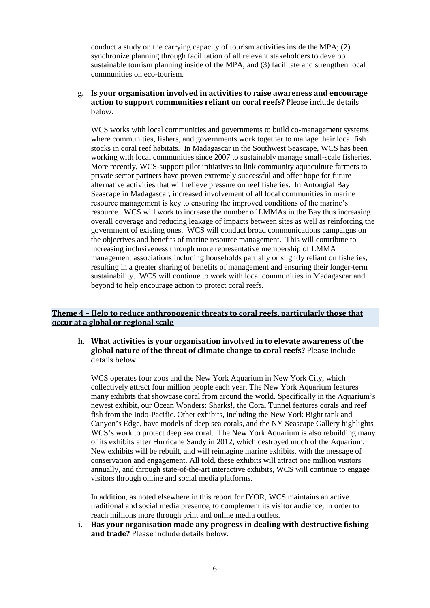conduct a study on the carrying capacity of tourism activities inside the MPA; (2) synchronize planning through facilitation of all relevant stakeholders to develop sustainable tourism planning inside of the MPA; and (3) facilitate and strengthen local communities on eco-tourism.

# **g. Is your organisation involved in activities to raise awareness and encourage action to support communities reliant on coral reefs?** Please include details below.

WCS works with local communities and governments to build co-management systems where communities, fishers, and governments work together to manage their local fish stocks in coral reef habitats. In Madagascar in the Southwest Seascape, WCS has been working with local communities since 2007 to sustainably manage small-scale fisheries. More recently, WCS-support pilot initiatives to link community aquaculture farmers to private sector partners have proven extremely successful and offer hope for future alternative activities that will relieve pressure on reef fisheries. In Antongial Bay Seascape in Madagascar, increased involvement of all local communities in marine resource management is key to ensuring the improved conditions of the marine's resource. WCS will work to increase the number of LMMAs in the Bay thus increasing overall coverage and reducing leakage of impacts between sites as well as reinforcing the government of existing ones. WCS will conduct broad communications campaigns on the objectives and benefits of marine resource management. This will contribute to increasing inclusiveness through more representative membership of LMMA management associations including households partially or slightly reliant on fisheries, resulting in a greater sharing of benefits of management and ensuring their longer-term sustainability. WCS will continue to work with local communities in Madagascar and beyond to help encourage action to protect coral reefs.

# **Theme 4 – Help to reduce anthropogenic threats to coral reefs, particularly those that occur at a global or regional scale**

#### **h. What activities is your organisation involved in to elevate awareness of the global nature of the threat of climate change to coral reefs?** Please include details below

WCS operates four zoos and the New York Aquarium in New York City, which collectively attract four million people each year. The New York Aquarium features many exhibits that showcase coral from around the world. Specifically in the Aquarium's newest exhibit, our Ocean Wonders: Sharks!, the Coral Tunnel features corals and reef fish from the Indo-Pacific. Other exhibits, including the New York Bight tank and Canyon's Edge, have models of deep sea corals, and the NY Seascape Gallery highlights WCS's work to protect deep sea coral. The New York Aquarium is also rebuilding many of its exhibits after Hurricane Sandy in 2012, which destroyed much of the Aquarium. New exhibits will be rebuilt, and will reimagine marine exhibits, with the message of conservation and engagement. All told, these exhibits will attract one million visitors annually, and through state-of-the-art interactive exhibits, WCS will continue to engage visitors through online and social media platforms.

In addition, as noted elsewhere in this report for IYOR, WCS maintains an active traditional and social media presence, to complement its visitor audience, in order to reach millions more through print and online media outlets.

**i. Has your organisation made any progress in dealing with destructive fishing and trade?** Please include details below.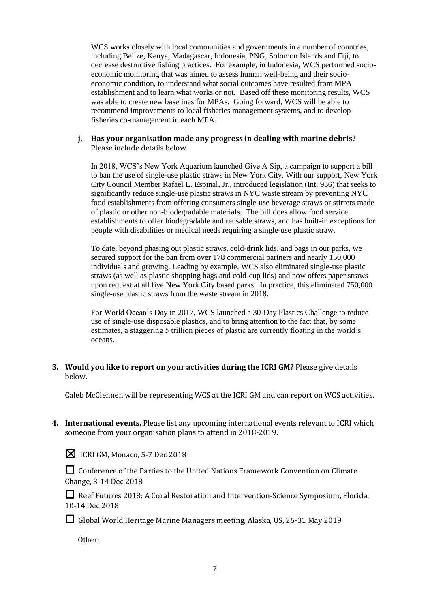WCS works closely with local communities and governments in a number of countries, including Belize, Kenya, Madagascar, Indonesia, PNG, Solomon Islands and Fiji, to decrease destructive fishing practices. For example, in Indonesia, WCS performed socioeconomic monitoring that was aimed to assess human well-being and their socioeconomic condition, to understand what social outcomes have resulted from MPA establishment and to learn what works or not. Based off these monitoring results, WCS was able to create new baselines for MPAs. Going forward, WCS will be able to recommend improvements to local fisheries management systems, and to develop fisheries co-management in each MPA.

#### **j. Has your organisation made any progress in dealing with marine debris?**  Please include details below.

In 2018, WCS's New York Aquarium launched Give A Sip, a campaign to support a bill to ban the use of single-use plastic straws in New York City. With our support, New York City Council Member Rafael L. Espinal, Jr., introduced legislation (Int. 936) that seeks to significantly reduce single-use plastic straws in NYC waste stream by preventing NYC food establishments from offering consumers single-use beverage straws or stirrers made of plastic or other non-biodegradable materials. The bill does allow food service establishments to offer biodegradable and reusable straws, and has built-in exceptions for people with disabilities or medical needs requiring a single-use plastic straw.

To date, beyond phasing out plastic straws, cold-drink lids, and bags in our parks, we secured support for the ban from over 178 commercial partners and nearly 150,000 individuals and growing. Leading by example, WCS also eliminated single-use plastic straws (as well as plastic shopping bags and cold-cup lids) and now offers paper straws upon request at all five New York City based parks. In practice, this eliminated 750,000 single-use plastic straws from the waste stream in 2018.

For World Ocean's Day in 2017, WCS launched a 30-Day Plastics Challenge to reduce use of single-use disposable plastics, and to bring attention to the fact that, by some estimates, a staggering 5 trillion pieces of plastic are currently floating in the world's oceans.

# **3. Would you like to report on your activities during the ICRI GM?** Please give details below.

Caleb McClennen will be representing WCS at the ICRI GM and can report on WCS activities.

**4. International events.** Please list any upcoming international events relevant to ICRI which someone from your organisation plans to attend in 2018-2019.

|  | <b>X</b> ICRI GM, Monaco, 5-7 Dec 2018 |  |  |  |
|--|----------------------------------------|--|--|--|
|--|----------------------------------------|--|--|--|

□ Conference of the Parties to the United Nations Framework Convention on Climate Change, 3-14 Dec 2018

□ Reef Futures 2018: A Coral Restoration and Intervention-Science Symposium, Florida, 10-14 Dec 2018

☐Global World Heritage Marine Managers meeting, Alaska, US, 26-31 May 2019

Other: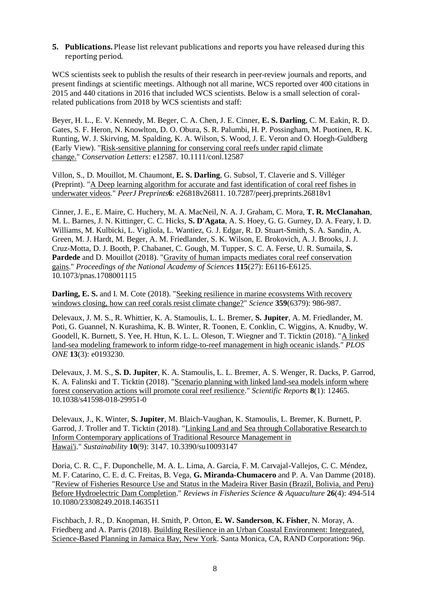**5. Publications.** Please list relevant publications and reports you have released during this reporting period.

WCS scientists seek to publish the results of their research in peer-review journals and reports, and present findings at scientific meetings. Although not all marine, WCS reported over 400 citations in 2015 and 440 citations in 2016 that included WCS scientists. Below is a small selection of coralrelated publications from 2018 by WCS scientists and staff:

Beyer, H. L., E. V. Kennedy, M. Beger, C. A. Chen, J. E. Cinner, **E. S. Darling**, C. M. Eakin, R. D. Gates, S. F. Heron, N. Knowlton, D. O. Obura, S. R. Palumbi, H. P. Possingham, M. Puotinen, R. K. Runting, W. J. Skirving, M. Spalding, K. A. Wilson, S. Wood, J. E. Veron and O. Hoegh-Guldberg (Early View). ["Risk-sensitive planning for conserving coral reefs under rapid climate](http://dx.doi.org/10.1111/conl.12587)  [change."](http://dx.doi.org/10.1111/conl.12587) *Conservation Letters*: e12587. 10.1111/conl.12587

Villon, S., D. Mouillot, M. Chaumont, **E. S. Darling**, G. Subsol, T. Claverie and S. Villéger (Preprint). ["A Deep learning algorithm for accurate and fast identification of coral reef fishes in](https://doi.org/10.7287/peerj.preprints.26818v1)  [underwater videos.](https://doi.org/10.7287/peerj.preprints.26818v1)" *PeerJ Preprints***6**: e26818v26811. 10.7287/peerj.preprints.26818v1

Cinner, J. E., E. Maire, C. Huchery, M. A. MacNeil, N. A. J. Graham, C. Mora, **T. R. McClanahan**, M. L. Barnes, J. N. Kittinger, C. C. Hicks, **S. D'Agata**, A. S. Hoey, G. G. Gurney, D. A. Feary, I. D. Williams, M. Kulbicki, L. Vigliola, L. Wantiez, G. J. Edgar, R. D. Stuart-Smith, S. A. Sandin, A. Green, M. J. Hardt, M. Beger, A. M. Friedlander, S. K. Wilson, E. Brokovich, A. J. Brooks, J. J. Cruz-Motta, D. J. Booth, P. Chabanet, C. Gough, M. Tupper, S. C. A. Ferse, U. R. Sumaila, **S. Pardede** and D. Mouillot (2018). ["Gravity of human impacts mediates coral reef conservation](https://doi.org/10.1073/pnas.1708001115)  [gains.](https://doi.org/10.1073/pnas.1708001115)" *Proceedings of the National Academy of Sciences* **115**(27): E6116-E6125. 10.1073/pnas.1708001115

**Darling, E. S.** and I. M. Cote (2018). "Seeking resilience in marine ecosystems With recovery [windows closing, how can reef corals resist climate change?"](http://dx.doi.org/10.1126/science.aas9852) *Science* **359**(6379): 986-987.

Delevaux, J. M. S., R. Whittier, K. A. Stamoulis, L. L. Bremer, **S. Jupiter**, A. M. Friedlander, M. Poti, G. Guannel, N. Kurashima, K. B. Winter, R. Toonen, E. Conklin, C. Wiggins, A. Knudby, W. Goodell, K. Burnett, S. Yee, H. Htun, K. L. L. Oleson, T. Wiegner and T. Ticktin (2018). ["A linked](https://doi.org/10.1371/journal.pone.0193230)  [land-sea modeling framework to inform ridge-to-reef management in high oceanic islands.](https://doi.org/10.1371/journal.pone.0193230)" *PLOS ONE* **13**(3): e0193230.

Delevaux, J. M. S., **S. D. Jupiter**, K. A. Stamoulis, L. L. Bremer, A. S. Wenger, R. Dacks, P. Garrod, K. A. Falinski and T. Ticktin (2018). ["Scenario planning with linked land-sea models inform where](https://doi.org/10.1038/s41598-018-29951-0)  [forest conservation actions will promote coral reef resilience.](https://doi.org/10.1038/s41598-018-29951-0)" *Scientific Reports* **8**(1): 12465. 10.1038/s41598-018-29951-0

Delevaux, J., K. Winter, **S. Jupiter**, M. Blaich-Vaughan, K. Stamoulis, L. Bremer, K. Burnett, P. Garrod, J. Troller and T. Ticktin (2018). ["Linking Land and Sea through Collaborative Research to](https://doi.org/10.3390/su10093147)  [Inform Contemporary applications of Traditional Resource Management in](https://doi.org/10.3390/su10093147)  [Hawai'i.](https://doi.org/10.3390/su10093147)" *Sustainability* **10**(9): 3147. 10.3390/su10093147

Doria, C. R. C., F. Duponchelle, M. A. L. Lima, A. Garcia, F. M. Carvajal-Vallejos, C. C. Méndez, M. F. Catarino, C. E. d. C. Freitas, B. Vega, **G. Miranda-Chumacero** and P. A. Van Damme (2018). ["Review of Fisheries Resource Use and Status in the Madeira River Basin \(Brazil, Bolivia, and Peru\)](https://doi.org/10.1080/23308249.2018.1463511)  [Before Hydroelectric Dam Completion.](https://doi.org/10.1080/23308249.2018.1463511)" *Reviews in Fisheries Science & Aquaculture* **26**(4): 494-514 10.1080/23308249.2018.1463511

Fischbach, J. R., D. Knopman, H. Smith, P. Orton, **E. W. Sanderson**, **K. Fisher**, N. Moray, A. Friedberg and A. Parris (2018). [Building Resilience in an Urban Coastal Environment: Integrated,](https://www.rand.org/pubs/research_reports/RR2193.html)  [Science-Based Planning in Jamaica Bay, New York.](https://www.rand.org/pubs/research_reports/RR2193.html) Santa Monica, CA, RAND Corporation**:** 96p.